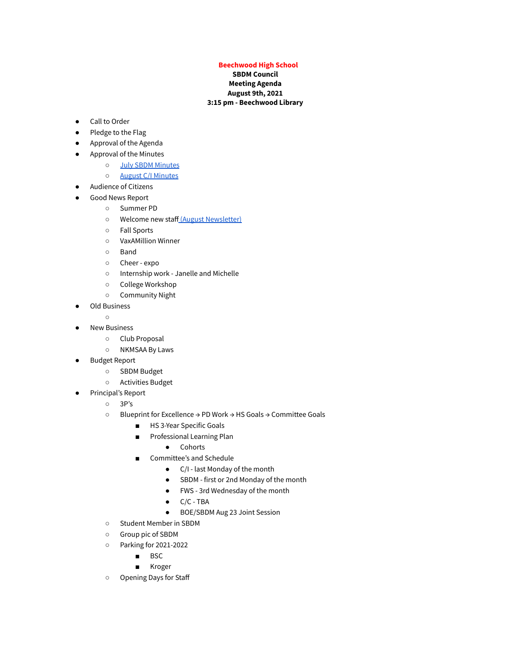## **Beechwood High School**

**SBDM Council Meeting Agenda August 9th, 2021 3:15 pm - Beechwood Library**

- Call to Order
- Pledge to the Flag
- Approval of the Agenda
- Approval of the Minutes
	- July SBDM [Minutes](https://docs.google.com/document/d/14XutCvq_M4TYQynEdanMgi5FUEfLR1IM3xagnWUqNpo/edit?usp=sharing)
	- August C/I [Minutes](https://docs.google.com/document/d/1Ye1afut5SeVIC52MHsvawNJmGapekQGIzUC0MLUMyrY/edit?usp=sharing)
- Audience of Citizens
- Good News Report
	- Summer PD
	- Welcome new staff (August [Newsletter\)](https://drive.google.com/file/d/1NzP8VDsm2OxQb9VnnhGSlmRPYTXC1gFj/view?usp=sharing)
	- Fall Sports
	- VaxAMillion Winner
	- Band
	- Cheer expo
	- Internship work Janelle and Michelle
	- College Workshop
	- Community Night
- Old Business
	- ○
- **New Business** 
	- Club Proposal
	- NKMSAA By Laws
- Budget Report
	- SBDM Budget
	- Activities Budget
- Principal's Report
	- $O$  3P's
	- Blueprint for Excellence → PD Work → HS Goals → Committee Goals
		- HS 3-Year Specific Goals
		- Professional Learning Plan
			- Cohorts
		- Committee's and Schedule
			- C/I last Monday of the month
			- SBDM first or 2nd Monday of the month
			- FWS 3rd Wednesday of the month
			- $\bullet$   $C/C$  TBA
			- BOE/SBDM Aug 23 Joint Session
	- Student Member in SBDM
	- Group pic of SBDM
	- Parking for 2021-2022
		- BSC
		- Kroger
	- Opening Days for Staff